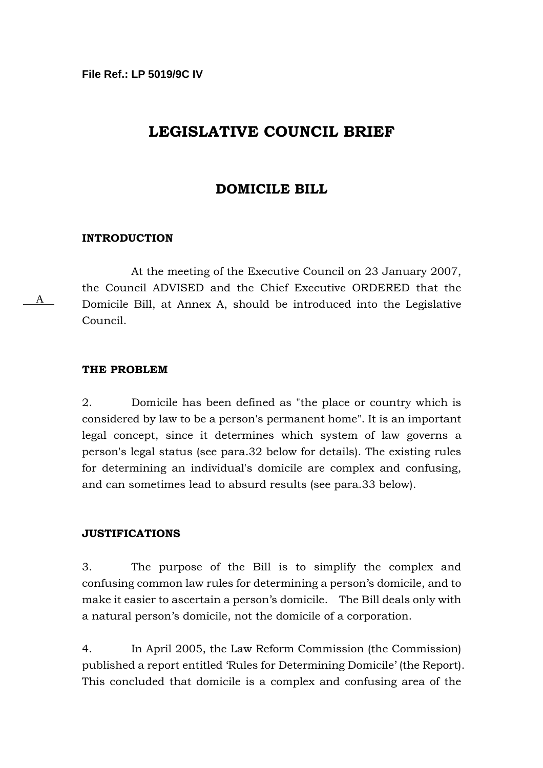# **LEGISLATIVE COUNCIL BRIEF**

# **DOMICILE BILL**

#### **INTRODUCTION**

At the meeting of the Executive Council on 23 January 2007, the Council ADVISED and the Chief Executive ORDERED that the Domicile Bill, at Annex A, should be introduced into the Legislative Council.

#### **THE PROBLEM**

A

2. Domicile has been defined as "the place or country which is considered by law to be a person's permanent home". It is an important legal concept, since it determines which system of law governs a person's legal status (see para.32 below for details). The existing rules for determining an individual's domicile are complex and confusing, and can sometimes lead to absurd results (see para.33 below).

#### **JUSTIFICATIONS**

3. The purpose of the Bill is to simplify the complex and confusing common law rules for determining a person's domicile, and to make it easier to ascertain a person's domicile. The Bill deals only with a natural person's domicile, not the domicile of a corporation.

4. In April 2005, the Law Reform Commission (the Commission) published a report entitled 'Rules for Determining Domicile' (the Report). This concluded that domicile is a complex and confusing area of the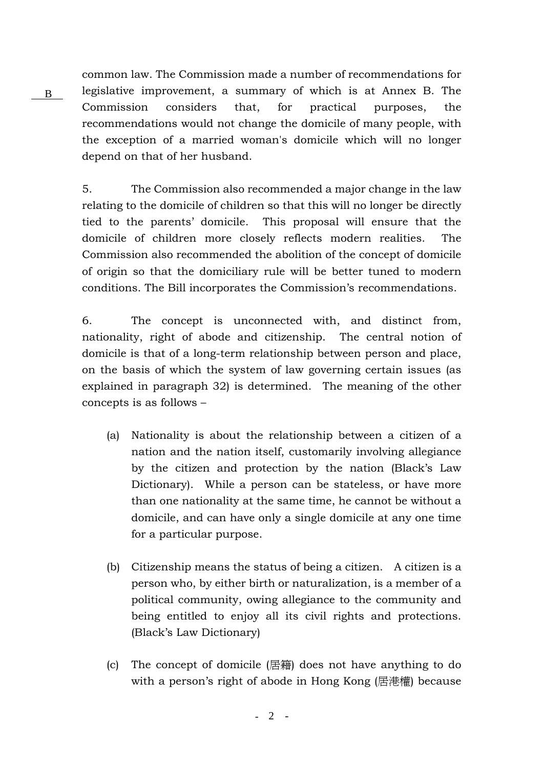common law. The Commission made a number of recommendations for legislative improvement, a summary of which is at Annex B. The Commission considers that, for practical purposes, the recommendations would not change the domicile of many people, with the exception of a married woman's domicile which will no longer depend on that of her husband.

B

5. The Commission also recommended a major change in the law relating to the domicile of children so that this will no longer be directly tied to the parents' domicile. This proposal will ensure that the domicile of children more closely reflects modern realities. The Commission also recommended the abolition of the concept of domicile of origin so that the domiciliary rule will be better tuned to modern conditions. The Bill incorporates the Commission's recommendations.

6. The concept is unconnected with, and distinct from, nationality, right of abode and citizenship. The central notion of domicile is that of a long-term relationship between person and place, on the basis of which the system of law governing certain issues (as explained in paragraph 32) is determined. The meaning of the other concepts is as follows –

- (a) Nationality is about the relationship between a citizen of a nation and the nation itself, customarily involving allegiance by the citizen and protection by the nation (Black's Law Dictionary). While a person can be stateless, or have more than one nationality at the same time, he cannot be without a domicile, and can have only a single domicile at any one time for a particular purpose.
- (b) Citizenship means the status of being a citizen. A citizen is a person who, by either birth or naturalization, is a member of a political community, owing allegiance to the community and being entitled to enjoy all its civil rights and protections. (Black's Law Dictionary)
- (c) The concept of domicile (居籍) does not have anything to do with a person's right of abode in Hong Kong (居港權) because

*-* 2 -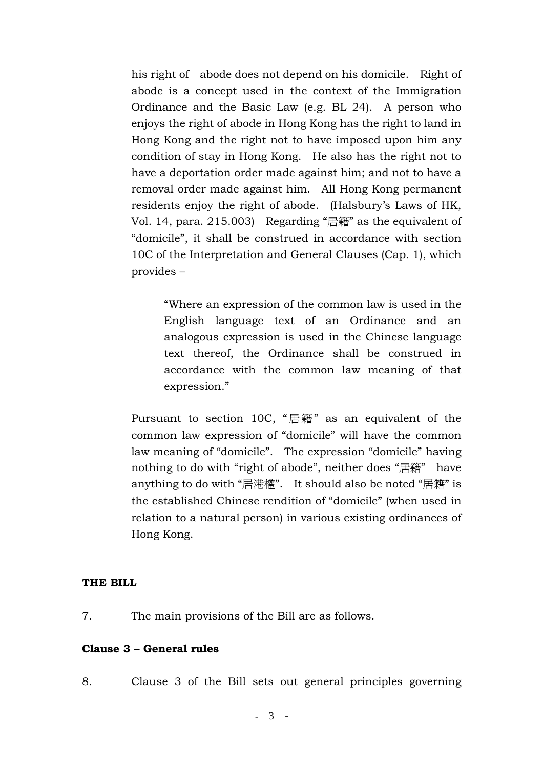his right of abode does not depend on his domicile. Right of abode is a concept used in the context of the Immigration Ordinance and the Basic Law (e.g. BL 24). A person who enjoys the right of abode in Hong Kong has the right to land in Hong Kong and the right not to have imposed upon him any condition of stay in Hong Kong. He also has the right not to have a deportation order made against him; and not to have a removal order made against him. All Hong Kong permanent residents enjoy the right of abode. (Halsbury's Laws of HK, Vol. 14, para. 215.003) Regarding "居籍" as the equivalent of "domicile", it shall be construed in accordance with section 10C of the Interpretation and General Clauses (Cap. 1), which provides –

"Where an expression of the common law is used in the English language text of an Ordinance and an analogous expression is used in the Chinese language text thereof, the Ordinance shall be construed in accordance with the common law meaning of that expression."

Pursuant to section 10C, "居籍" as an equivalent of the common law expression of "domicile" will have the common law meaning of "domicile". The expression "domicile" having nothing to do with "right of abode", neither does "居籍" have anything to do with "居港權". It should also be noted "居籍" is the established Chinese rendition of "domicile" (when used in relation to a natural person) in various existing ordinances of Hong Kong.

### **THE BILL**

7. The main provisions of the Bill are as follows.

### **Clause 3 – General rules**

8. Clause 3 of the Bill sets out general principles governing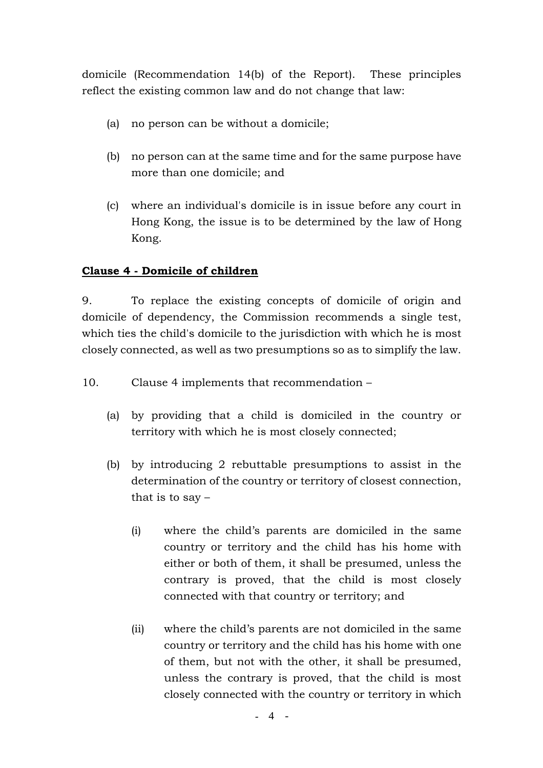domicile (Recommendation 14(b) of the Report). These principles reflect the existing common law and do not change that law:

- (a) no person can be without a domicile;
- (b) no person can at the same time and for the same purpose have more than one domicile; and
- (c) where an individual's domicile is in issue before any court in Hong Kong, the issue is to be determined by the law of Hong Kong.

# **Clause 4 - Domicile of children**

9. To replace the existing concepts of domicile of origin and domicile of dependency, the Commission recommends a single test, which ties the child's domicile to the jurisdiction with which he is most closely connected, as well as two presumptions so as to simplify the law.

- 10. Clause 4 implements that recommendation
	- (a) by providing that a child is domiciled in the country or territory with which he is most closely connected;
	- (b) by introducing 2 rebuttable presumptions to assist in the determination of the country or territory of closest connection, that is to say  $-$ 
		- (i) where the child's parents are domiciled in the same country or territory and the child has his home with either or both of them, it shall be presumed, unless the contrary is proved, that the child is most closely connected with that country or territory; and
		- (ii) where the child's parents are not domiciled in the same country or territory and the child has his home with one of them, but not with the other, it shall be presumed, unless the contrary is proved, that the child is most closely connected with the country or territory in which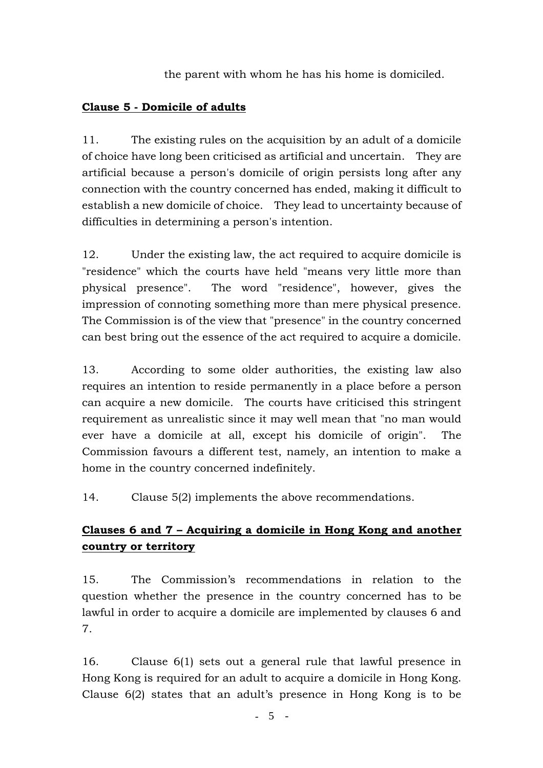the parent with whom he has his home is domiciled.

# **Clause 5 - Domicile of adults**

11. The existing rules on the acquisition by an adult of a domicile of choice have long been criticised as artificial and uncertain. They are artificial because a person's domicile of origin persists long after any connection with the country concerned has ended, making it difficult to establish a new domicile of choice. They lead to uncertainty because of difficulties in determining a person's intention.

12. Under the existing law, the act required to acquire domicile is "residence" which the courts have held "means very little more than physical presence". The word "residence", however, gives the impression of connoting something more than mere physical presence. The Commission is of the view that "presence" in the country concerned can best bring out the essence of the act required to acquire a domicile.

13. According to some older authorities, the existing law also requires an intention to reside permanently in a place before a person can acquire a new domicile. The courts have criticised this stringent requirement as unrealistic since it may well mean that "no man would ever have a domicile at all, except his domicile of origin". The Commission favours a different test, namely, an intention to make a home in the country concerned indefinitely.

14. Clause 5(2) implements the above recommendations.

# **Clauses 6 and 7 – Acquiring a domicile in Hong Kong and another country or territory**

15. The Commission's recommendations in relation to the question whether the presence in the country concerned has to be lawful in order to acquire a domicile are implemented by clauses 6 and 7.

16. Clause 6(1) sets out a general rule that lawful presence in Hong Kong is required for an adult to acquire a domicile in Hong Kong. Clause 6(2) states that an adult's presence in Hong Kong is to be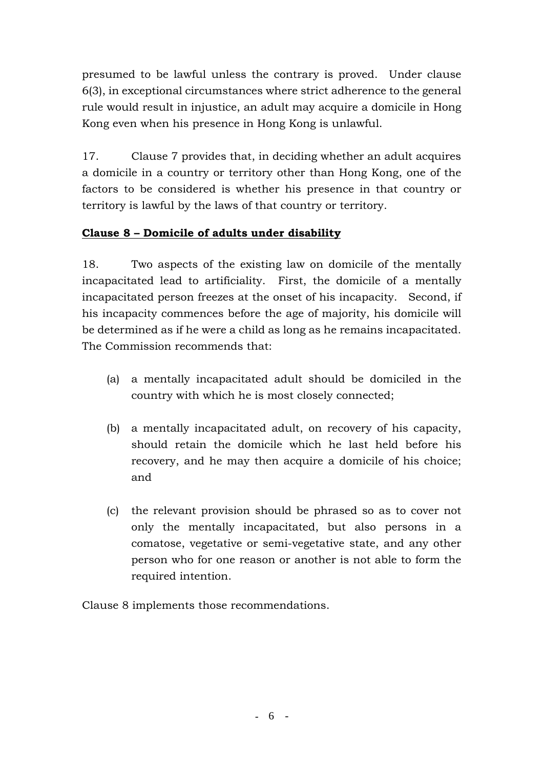presumed to be lawful unless the contrary is proved. Under clause 6(3), in exceptional circumstances where strict adherence to the general rule would result in injustice, an adult may acquire a domicile in Hong Kong even when his presence in Hong Kong is unlawful.

17. Clause 7 provides that, in deciding whether an adult acquires a domicile in a country or territory other than Hong Kong, one of the factors to be considered is whether his presence in that country or territory is lawful by the laws of that country or territory.

# **Clause 8 – Domicile of adults under disability**

18. Two aspects of the existing law on domicile of the mentally incapacitated lead to artificiality. First, the domicile of a mentally incapacitated person freezes at the onset of his incapacity. Second, if his incapacity commences before the age of majority, his domicile will be determined as if he were a child as long as he remains incapacitated. The Commission recommends that:

- (a) a mentally incapacitated adult should be domiciled in the country with which he is most closely connected;
- (b) a mentally incapacitated adult, on recovery of his capacity, should retain the domicile which he last held before his recovery, and he may then acquire a domicile of his choice; and
- (c) the relevant provision should be phrased so as to cover not only the mentally incapacitated, but also persons in a comatose, vegetative or semi-vegetative state, and any other person who for one reason or another is not able to form the required intention.

Clause 8 implements those recommendations.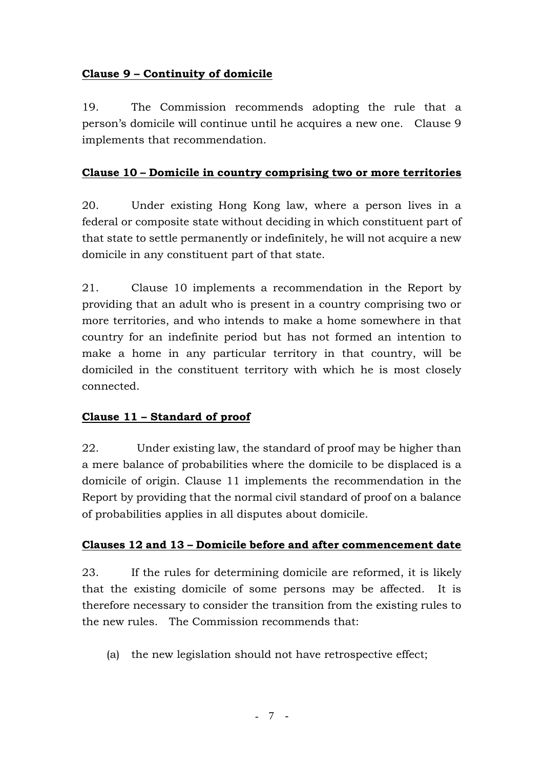# **Clause 9 – Continuity of domicile**

19. The Commission recommends adopting the rule that a person's domicile will continue until he acquires a new one. Clause 9 implements that recommendation.

# **Clause 10 – Domicile in country comprising two or more territories**

20. Under existing Hong Kong law, where a person lives in a federal or composite state without deciding in which constituent part of that state to settle permanently or indefinitely, he will not acquire a new domicile in any constituent part of that state.

21. Clause 10 implements a recommendation in the Report by providing that an adult who is present in a country comprising two or more territories, and who intends to make a home somewhere in that country for an indefinite period but has not formed an intention to make a home in any particular territory in that country, will be domiciled in the constituent territory with which he is most closely connected.

# **Clause 11 – Standard of proof**

22. Under existing law, the standard of proof may be higher than a mere balance of probabilities where the domicile to be displaced is a domicile of origin. Clause 11 implements the recommendation in the Report by providing that the normal civil standard of proof on a balance of probabilities applies in all disputes about domicile.

# **Clauses 12 and 13 – Domicile before and after commencement date**

23. If the rules for determining domicile are reformed, it is likely that the existing domicile of some persons may be affected. It is therefore necessary to consider the transition from the existing rules to the new rules. The Commission recommends that:

(a) the new legislation should not have retrospective effect;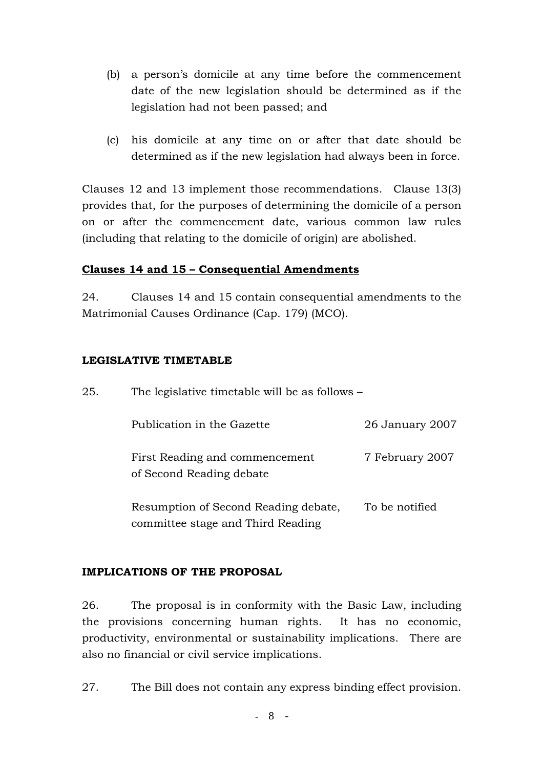- (b) a person's domicile at any time before the commencement date of the new legislation should be determined as if the legislation had not been passed; and
- (c) his domicile at any time on or after that date should be determined as if the new legislation had always been in force.

Clauses 12 and 13 implement those recommendations. Clause 13(3) provides that, for the purposes of determining the domicile of a person on or after the commencement date, various common law rules (including that relating to the domicile of origin) are abolished.

### **Clauses 14 and 15 – Consequential Amendments**

24. Clauses 14 and 15 contain consequential amendments to the Matrimonial Causes Ordinance (Cap. 179) (MCO).

### **LEGISLATIVE TIMETABLE**

25. The legislative timetable will be as follows –

committee stage and Third Reading

| Publication in the Gazette                                 | 26 January 2007 |
|------------------------------------------------------------|-----------------|
| First Reading and commencement<br>of Second Reading debate | 7 February 2007 |
| Resumption of Second Reading debate,                       | To be notified  |

# **IMPLICATIONS OF THE PROPOSAL**

26. The proposal is in conformity with the Basic Law, including the provisions concerning human rights. It has no economic, productivity, environmental or sustainability implications. There are also no financial or civil service implications.

27. The Bill does not contain any express binding effect provision.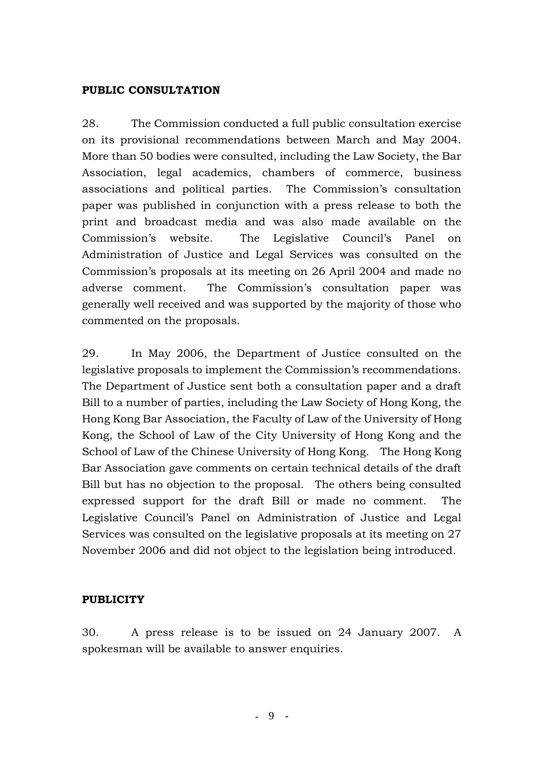### **PUBLIC CONSULTATION**

28. The Commission conducted a full public consultation exercise on its provisional recommendations between March and May 2004. More than 50 bodies were consulted, including the Law Society, the Bar Association, legal academics, chambers of commerce, business associations and political parties. The Commission's consultation paper was published in conjunction with a press release to both the print and broadcast media and was also made available on the Commission's website. The Legislative Council's Panel on Administration of Justice and Legal Services was consulted on the Commission's proposals at its meeting on 26 April 2004 and made no adverse comment. The Commission's consultation paper was generally well received and was supported by the majority of those who commented on the proposals.

29. In May 2006, the Department of Justice consulted on the legislative proposals to implement the Commission's recommendations. The Department of Justice sent both a consultation paper and a draft Bill to a number of parties, including the Law Society of Hong Kong, the Hong Kong Bar Association, the Faculty of Law of the University of Hong Kong, the School of Law of the City University of Hong Kong and the School of Law of the Chinese University of Hong Kong. The Hong Kong Bar Association gave comments on certain technical details of the draft Bill but has no objection to the proposal. The others being consulted expressed support for the draft Bill or made no comment. The Legislative Council's Panel on Administration of Justice and Legal Services was consulted on the legislative proposals at its meeting on 27 November 2006 and did not object to the legislation being introduced.

### **PUBLICITY**

30. A press release is to be issued on 24 January 2007. A spokesman will be available to answer enquiries.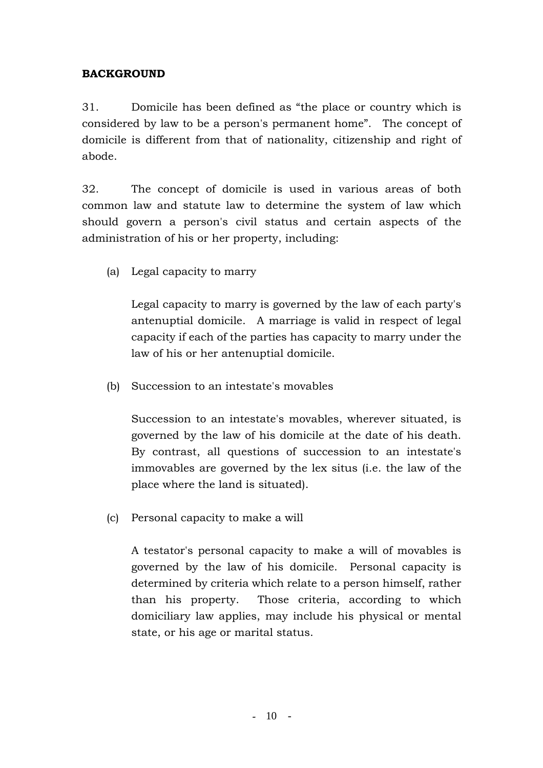# **BACKGROUND**

31. Domicile has been defined as "the place or country which is considered by law to be a person's permanent home". The concept of domicile is different from that of nationality, citizenship and right of abode.

32. The concept of domicile is used in various areas of both common law and statute law to determine the system of law which should govern a person's civil status and certain aspects of the administration of his or her property, including:

(a) Legal capacity to marry

 Legal capacity to marry is governed by the law of each party's antenuptial domicile. A marriage is valid in respect of legal capacity if each of the parties has capacity to marry under the law of his or her antenuptial domicile.

(b) Succession to an intestate's movables

 Succession to an intestate's movables, wherever situated, is governed by the law of his domicile at the date of his death. By contrast, all questions of succession to an intestate's immovables are governed by the lex situs (i.e. the law of the place where the land is situated).

(c) Personal capacity to make a will

 A testator's personal capacity to make a will of movables is governed by the law of his domicile. Personal capacity is determined by criteria which relate to a person himself, rather than his property. Those criteria, according to which domiciliary law applies, may include his physical or mental state, or his age or marital status.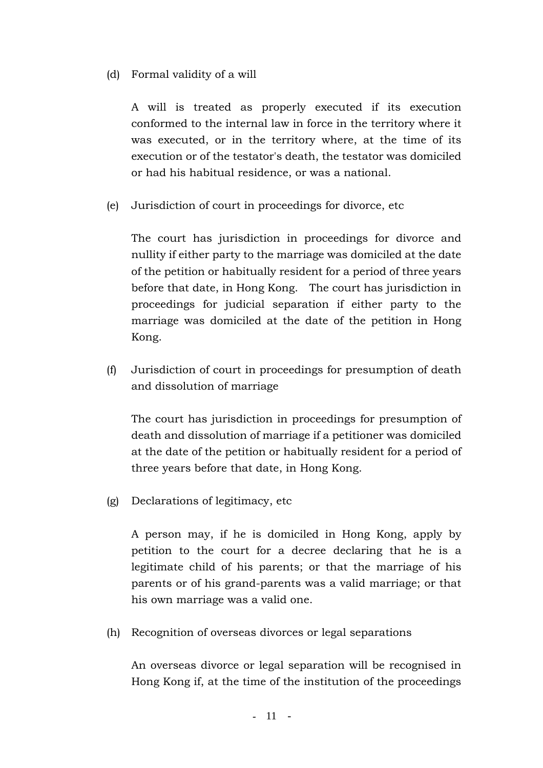# (d) Formal validity of a will

 A will is treated as properly executed if its execution conformed to the internal law in force in the territory where it was executed, or in the territory where, at the time of its execution or of the testator's death, the testator was domiciled or had his habitual residence, or was a national.

(e) Jurisdiction of court in proceedings for divorce, etc

 The court has jurisdiction in proceedings for divorce and nullity if either party to the marriage was domiciled at the date of the petition or habitually resident for a period of three years before that date, in Hong Kong. The court has jurisdiction in proceedings for judicial separation if either party to the marriage was domiciled at the date of the petition in Hong Kong.

 (f) Jurisdiction of court in proceedings for presumption of death and dissolution of marriage

 The court has jurisdiction in proceedings for presumption of death and dissolution of marriage if a petitioner was domiciled at the date of the petition or habitually resident for a period of three years before that date, in Hong Kong.

(g) Declarations of legitimacy, etc

 A person may, if he is domiciled in Hong Kong, apply by petition to the court for a decree declaring that he is a legitimate child of his parents; or that the marriage of his parents or of his grand-parents was a valid marriage; or that his own marriage was a valid one.

(h) Recognition of overseas divorces or legal separations

 An overseas divorce or legal separation will be recognised in Hong Kong if, at the time of the institution of the proceedings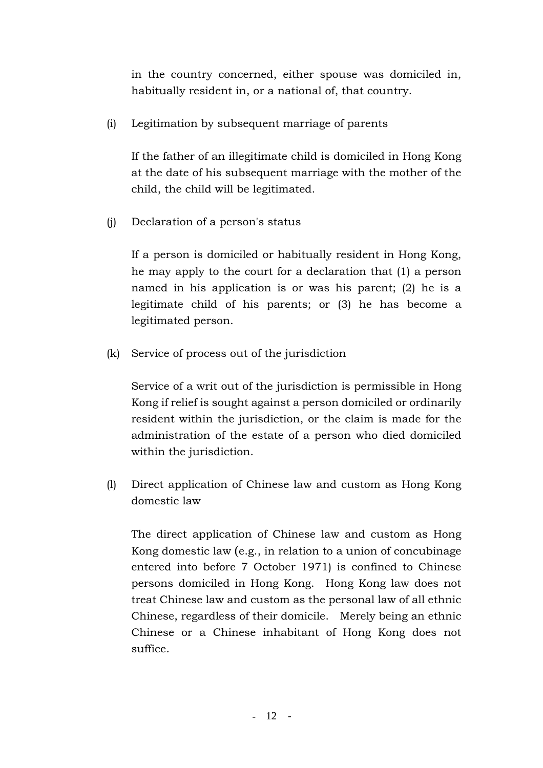in the country concerned, either spouse was domiciled in, habitually resident in, or a national of, that country.

(i) Legitimation by subsequent marriage of parents

 If the father of an illegitimate child is domiciled in Hong Kong at the date of his subsequent marriage with the mother of the child, the child will be legitimated.

(j) Declaration of a person's status

 If a person is domiciled or habitually resident in Hong Kong, he may apply to the court for a declaration that (1) a person named in his application is or was his parent; (2) he is a legitimate child of his parents; or (3) he has become a legitimated person.

(k) Service of process out of the jurisdiction

 Service of a writ out of the jurisdiction is permissible in Hong Kong if relief is sought against a person domiciled or ordinarily resident within the jurisdiction, or the claim is made for the administration of the estate of a person who died domiciled within the jurisdiction.

 (l) Direct application of Chinese law and custom as Hong Kong domestic law

 The direct application of Chinese law and custom as Hong Kong domestic law (e.g., in relation to a union of concubinage entered into before 7 October 1971) is confined to Chinese persons domiciled in Hong Kong. Hong Kong law does not treat Chinese law and custom as the personal law of all ethnic Chinese, regardless of their domicile. Merely being an ethnic Chinese or a Chinese inhabitant of Hong Kong does not suffice.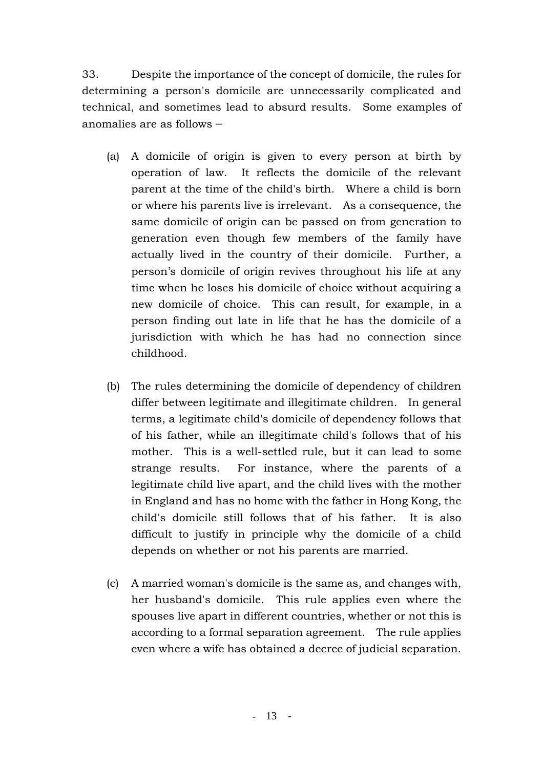33. Despite the importance of the concept of domicile, the rules for determining a person's domicile are unnecessarily complicated and technical, and sometimes lead to absurd results. Some examples of anomalies are as follows –

- (a) A domicile of origin is given to every person at birth by operation of law. It reflects the domicile of the relevant parent at the time of the child's birth. Where a child is born or where his parents live is irrelevant. As a consequence, the same domicile of origin can be passed on from generation to generation even though few members of the family have actually lived in the country of their domicile. Further, a person's domicile of origin revives throughout his life at any time when he loses his domicile of choice without acquiring a new domicile of choice. This can result, for example, in a person finding out late in life that he has the domicile of a jurisdiction with which he has had no connection since childhood.
- (b) The rules determining the domicile of dependency of children differ between legitimate and illegitimate children. In general terms, a legitimate child's domicile of dependency follows that of his father, while an illegitimate child's follows that of his mother. This is a well-settled rule, but it can lead to some strange results. For instance, where the parents of a legitimate child live apart, and the child lives with the mother in England and has no home with the father in Hong Kong, the child's domicile still follows that of his father. It is also difficult to justify in principle why the domicile of a child depends on whether or not his parents are married.
- (c) A married woman's domicile is the same as, and changes with, her husband's domicile. This rule applies even where the spouses live apart in different countries, whether or not this is according to a formal separation agreement. The rule applies even where a wife has obtained a decree of judicial separation.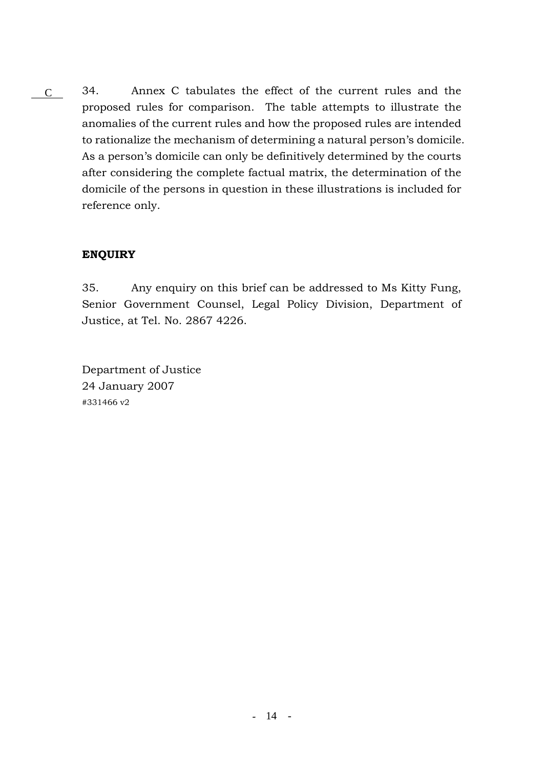34. Annex C tabulates the effect of the current rules and the proposed rules for comparison. The table attempts to illustrate the anomalies of the current rules and how the proposed rules are intended to rationalize the mechanism of determining a natural person's domicile. As a person's domicile can only be definitively determined by the courts after considering the complete factual matrix, the determination of the domicile of the persons in question in these illustrations is included for reference only. C

# **ENQUIRY**

35. Any enquiry on this brief can be addressed to Ms Kitty Fung, Senior Government Counsel, Legal Policy Division, Department of Justice, at Tel. No. 2867 4226.

Department of Justice 24 January 2007 #331466 v2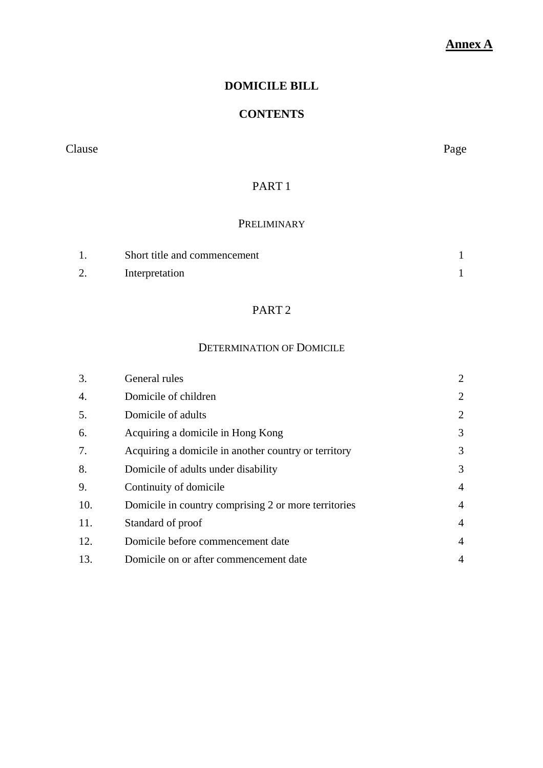# **Annex A**

# **DOMICILE BILL**

# **CONTENTS**

Clause Page

# PART 1

### PRELIMINARY

| Short title and commencement |  |
|------------------------------|--|
| Interpretation               |  |

# PART 2

# DETERMINATION OF DOMICILE

| 3.  | General rules                                        | 2              |
|-----|------------------------------------------------------|----------------|
| 4.  | Domicile of children                                 | 2              |
| 5.  | Domicile of adults                                   | $\overline{2}$ |
| 6.  | Acquiring a domicile in Hong Kong                    | 3              |
| 7.  | Acquiring a domicile in another country or territory | 3              |
| 8.  | Domicile of adults under disability                  | 3              |
| 9.  | Continuity of domicile                               | $\overline{4}$ |
| 10. | Domicile in country comprising 2 or more territories | $\overline{4}$ |
| 11. | Standard of proof                                    | $\overline{4}$ |
| 12. | Domicile before commencement date                    | 4              |
| 13. | Domicile on or after commencement date               | 4              |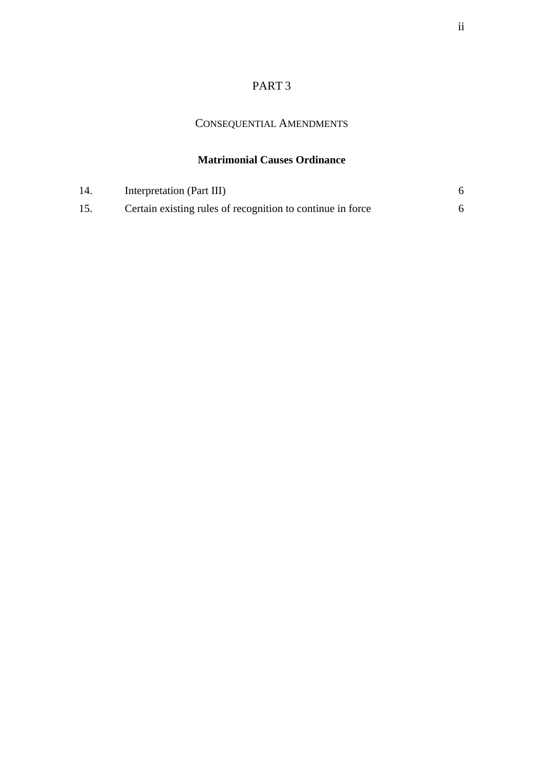# PART 3

# CONSEQUENTIAL AMENDMENTS

# **Matrimonial Causes Ordinance**

| 14 | Interpretation (Part III)                                  |  |
|----|------------------------------------------------------------|--|
| 15 | Certain existing rules of recognition to continue in force |  |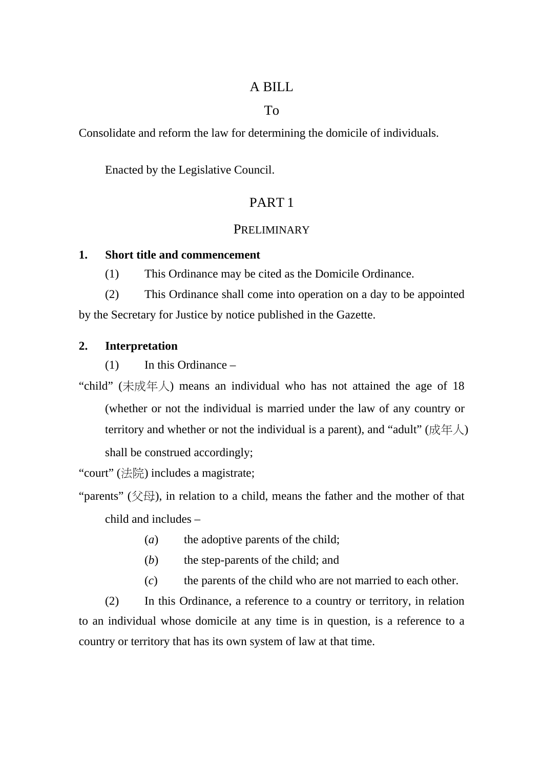# A BILL

# To

Consolidate and reform the law for determining the domicile of individuals.

Enacted by the Legislative Council.

# PART 1

# **PRELIMINARY**

# **1. Short title and commencement**

(1) This Ordinance may be cited as the Domicile Ordinance.

(2) This Ordinance shall come into operation on a day to be appointed by the Secretary for Justice by notice published in the Gazette.

# **2. Interpretation**

(1) In this Ordinance –

"child" (未成年人) means an individual who has not attained the age of 18 (whether or not the individual is married under the law of any country or territory and whether or not the individual is a parent), and "adult" ( $\overline{\mathcal{R}} \oplus \overline{\mathcal{R}}$ ) shall be construed accordingly;

"court" (法院) includes a magistrate;

"parents" ( $\Diamond \boxplus$ ), in relation to a child, means the father and the mother of that child and includes –

- (*a*) the adoptive parents of the child;
- (*b*) the step-parents of the child; and
- (*c*) the parents of the child who are not married to each other.

(2) In this Ordinance, a reference to a country or territory, in relation to an individual whose domicile at any time is in question, is a reference to a country or territory that has its own system of law at that time.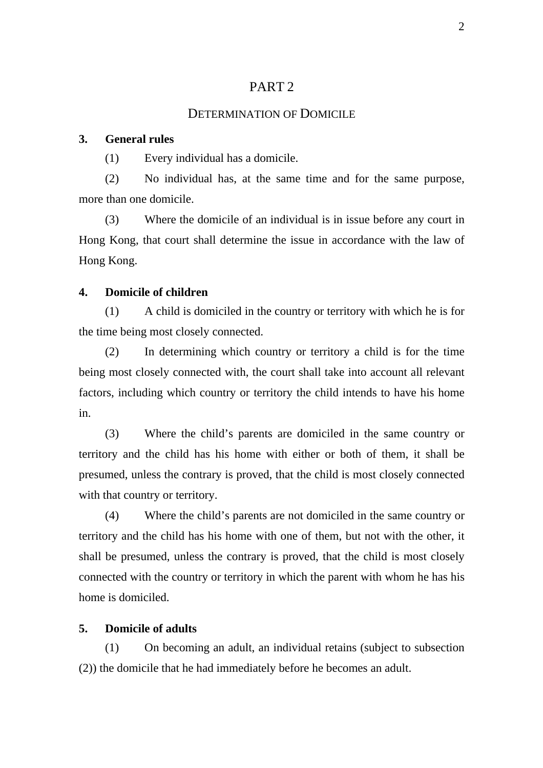# PART 2

#### DETERMINATION OF DOMICILE

#### **3. General rules**

(1) Every individual has a domicile.

(2) No individual has, at the same time and for the same purpose, more than one domicile.

(3) Where the domicile of an individual is in issue before any court in Hong Kong, that court shall determine the issue in accordance with the law of Hong Kong.

### **4. Domicile of children**

(1) A child is domiciled in the country or territory with which he is for the time being most closely connected.

(2) In determining which country or territory a child is for the time being most closely connected with, the court shall take into account all relevant factors, including which country or territory the child intends to have his home in.

(3) Where the child's parents are domiciled in the same country or territory and the child has his home with either or both of them, it shall be presumed, unless the contrary is proved, that the child is most closely connected with that country or territory.

(4) Where the child's parents are not domiciled in the same country or territory and the child has his home with one of them, but not with the other, it shall be presumed, unless the contrary is proved, that the child is most closely connected with the country or territory in which the parent with whom he has his home is domiciled.

### **5. Domicile of adults**

(1) On becoming an adult, an individual retains (subject to subsection (2)) the domicile that he had immediately before he becomes an adult.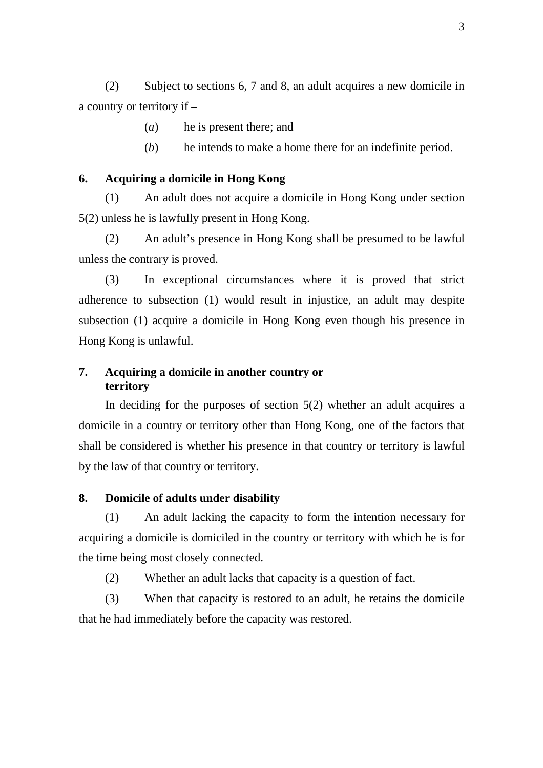(2) Subject to sections 6, 7 and 8, an adult acquires a new domicile in a country or territory if –

- (*a*) he is present there; and
- (*b*) he intends to make a home there for an indefinite period.

### **6. Acquiring a domicile in Hong Kong**

(1) An adult does not acquire a domicile in Hong Kong under section 5(2) unless he is lawfully present in Hong Kong.

(2) An adult's presence in Hong Kong shall be presumed to be lawful unless the contrary is proved.

(3) In exceptional circumstances where it is proved that strict adherence to subsection (1) would result in injustice, an adult may despite subsection (1) acquire a domicile in Hong Kong even though his presence in Hong Kong is unlawful.

# **7. Acquiring a domicile in another country or territory**

In deciding for the purposes of section 5(2) whether an adult acquires a domicile in a country or territory other than Hong Kong, one of the factors that shall be considered is whether his presence in that country or territory is lawful by the law of that country or territory.

### **8. Domicile of adults under disability**

(1) An adult lacking the capacity to form the intention necessary for acquiring a domicile is domiciled in the country or territory with which he is for the time being most closely connected.

(2) Whether an adult lacks that capacity is a question of fact.

(3) When that capacity is restored to an adult, he retains the domicile that he had immediately before the capacity was restored.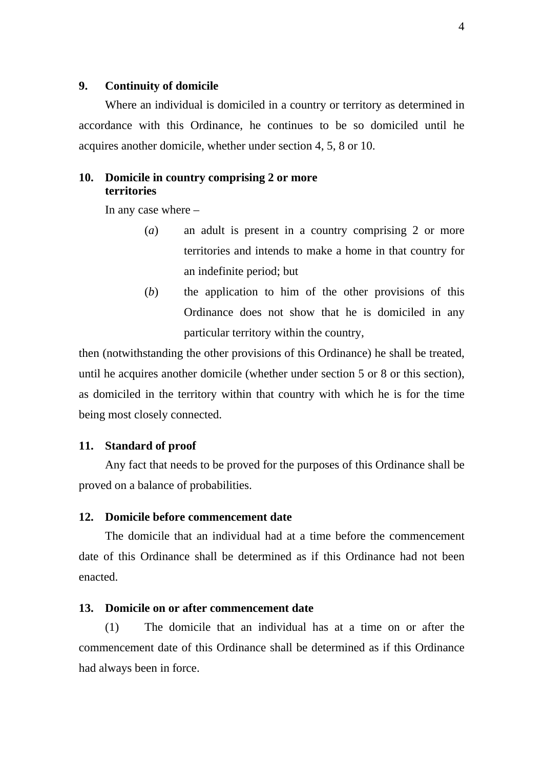### **9. Continuity of domicile**

Where an individual is domiciled in a country or territory as determined in accordance with this Ordinance, he continues to be so domiciled until he acquires another domicile, whether under section 4, 5, 8 or 10.

### **10. Domicile in country comprising 2 or more territories**

In any case where –

- (*a*) an adult is present in a country comprising 2 or more territories and intends to make a home in that country for an indefinite period; but
- (*b*) the application to him of the other provisions of this Ordinance does not show that he is domiciled in any particular territory within the country,

then (notwithstanding the other provisions of this Ordinance) he shall be treated, until he acquires another domicile (whether under section 5 or 8 or this section), as domiciled in the territory within that country with which he is for the time being most closely connected.

### **11. Standard of proof**

Any fact that needs to be proved for the purposes of this Ordinance shall be proved on a balance of probabilities.

### **12. Domicile before commencement date**

The domicile that an individual had at a time before the commencement date of this Ordinance shall be determined as if this Ordinance had not been enacted.

### **13. Domicile on or after commencement date**

(1) The domicile that an individual has at a time on or after the commencement date of this Ordinance shall be determined as if this Ordinance had always been in force.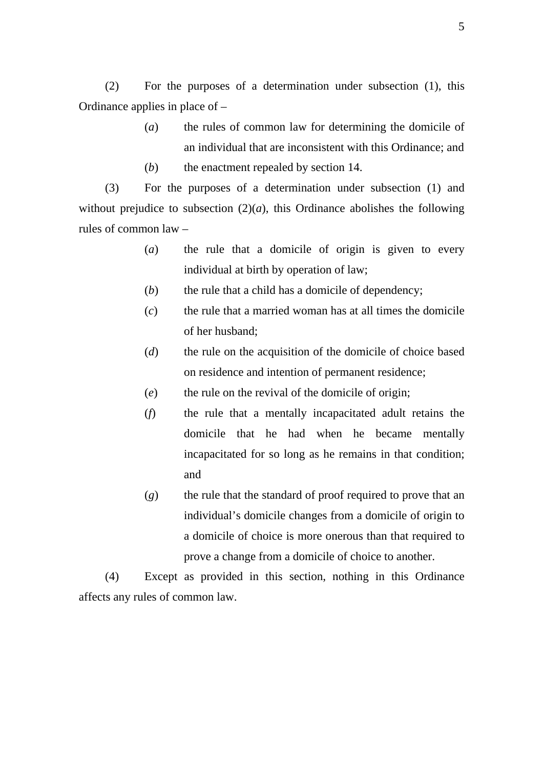(2) For the purposes of a determination under subsection (1), this Ordinance applies in place of –

- (*a*) the rules of common law for determining the domicile of an individual that are inconsistent with this Ordinance; and
- (*b*) the enactment repealed by section 14.

(3) For the purposes of a determination under subsection (1) and without prejudice to subsection  $(2)(a)$ , this Ordinance abolishes the following rules of common law –

- (*a*) the rule that a domicile of origin is given to every individual at birth by operation of law;
- (*b*) the rule that a child has a domicile of dependency;
- (*c*) the rule that a married woman has at all times the domicile of her husband;
- (*d*) the rule on the acquisition of the domicile of choice based on residence and intention of permanent residence;
- (*e*) the rule on the revival of the domicile of origin;
- (*f*) the rule that a mentally incapacitated adult retains the domicile that he had when he became mentally incapacitated for so long as he remains in that condition; and
- (*g*) the rule that the standard of proof required to prove that an individual's domicile changes from a domicile of origin to a domicile of choice is more onerous than that required to prove a change from a domicile of choice to another.

(4) Except as provided in this section, nothing in this Ordinance affects any rules of common law.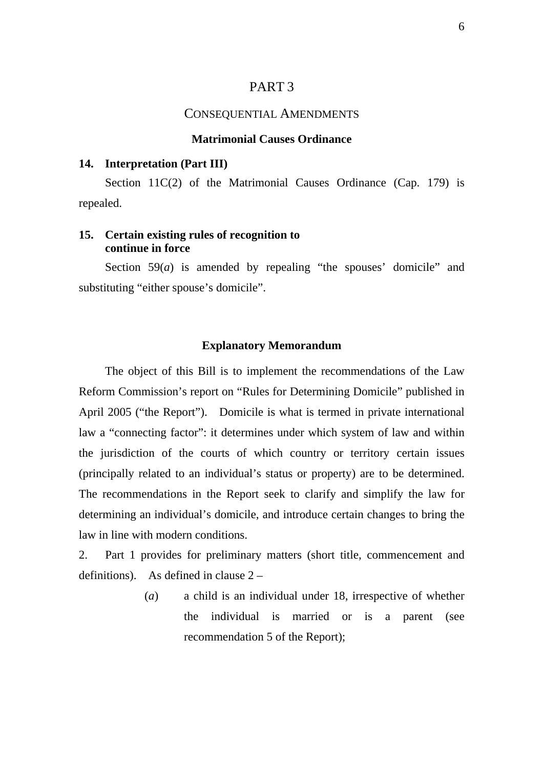### PART 3

#### CONSEQUENTIAL AMENDMENTS

### **Matrimonial Causes Ordinance**

#### **14. Interpretation (Part III)**

Section 11C(2) of the Matrimonial Causes Ordinance (Cap. 179) is repealed.

### **15. Certain existing rules of recognition to continue in force**

Section 59(*a*) is amended by repealing "the spouses' domicile" and substituting "either spouse's domicile".

#### **Explanatory Memorandum**

The object of this Bill is to implement the recommendations of the Law Reform Commission's report on "Rules for Determining Domicile" published in April 2005 ("the Report"). Domicile is what is termed in private international law a "connecting factor": it determines under which system of law and within the jurisdiction of the courts of which country or territory certain issues (principally related to an individual's status or property) are to be determined. The recommendations in the Report seek to clarify and simplify the law for determining an individual's domicile, and introduce certain changes to bring the law in line with modern conditions.

2. Part 1 provides for preliminary matters (short title, commencement and definitions). As defined in clause 2 –

> (*a*) a child is an individual under 18, irrespective of whether the individual is married or is a parent (see recommendation 5 of the Report);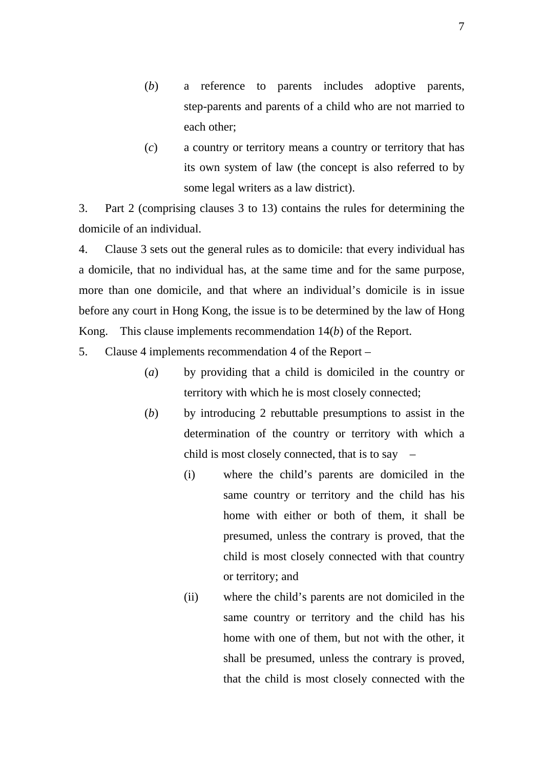- (*b*) a reference to parents includes adoptive parents, step-parents and parents of a child who are not married to each other;
- (*c*) a country or territory means a country or territory that has its own system of law (the concept is also referred to by some legal writers as a law district).

3. Part 2 (comprising clauses 3 to 13) contains the rules for determining the domicile of an individual.

4. Clause 3 sets out the general rules as to domicile: that every individual has a domicile, that no individual has, at the same time and for the same purpose, more than one domicile, and that where an individual's domicile is in issue before any court in Hong Kong, the issue is to be determined by the law of Hong Kong. This clause implements recommendation 14(*b*) of the Report.

5. Clause 4 implements recommendation 4 of the Report –

- (*a*) by providing that a child is domiciled in the country or territory with which he is most closely connected;
- (*b*) by introducing 2 rebuttable presumptions to assist in the determination of the country or territory with which a child is most closely connected, that is to say  $-$ 
	- (i) where the child's parents are domiciled in the same country or territory and the child has his home with either or both of them, it shall be presumed, unless the contrary is proved, that the child is most closely connected with that country or territory; and
	- (ii) where the child's parents are not domiciled in the same country or territory and the child has his home with one of them, but not with the other, it shall be presumed, unless the contrary is proved, that the child is most closely connected with the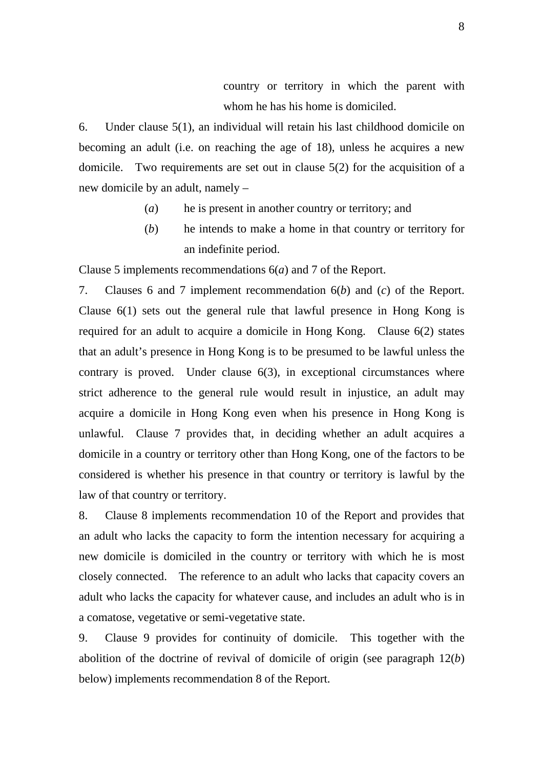country or territory in which the parent with whom he has his home is domiciled.

6. Under clause 5(1), an individual will retain his last childhood domicile on becoming an adult (i.e. on reaching the age of 18), unless he acquires a new domicile. Two requirements are set out in clause 5(2) for the acquisition of a new domicile by an adult, namely –

- (*a*) he is present in another country or territory; and
- (*b*) he intends to make a home in that country or territory for an indefinite period.

Clause 5 implements recommendations 6(*a*) and 7 of the Report.

7. Clauses 6 and 7 implement recommendation 6(*b*) and (*c*) of the Report. Clause 6(1) sets out the general rule that lawful presence in Hong Kong is required for an adult to acquire a domicile in Hong Kong. Clause 6(2) states that an adult's presence in Hong Kong is to be presumed to be lawful unless the contrary is proved. Under clause 6(3), in exceptional circumstances where strict adherence to the general rule would result in injustice, an adult may acquire a domicile in Hong Kong even when his presence in Hong Kong is unlawful. Clause 7 provides that, in deciding whether an adult acquires a domicile in a country or territory other than Hong Kong, one of the factors to be considered is whether his presence in that country or territory is lawful by the law of that country or territory.

8. Clause 8 implements recommendation 10 of the Report and provides that an adult who lacks the capacity to form the intention necessary for acquiring a new domicile is domiciled in the country or territory with which he is most closely connected. The reference to an adult who lacks that capacity covers an adult who lacks the capacity for whatever cause, and includes an adult who is in a comatose, vegetative or semi-vegetative state.

9. Clause 9 provides for continuity of domicile. This together with the abolition of the doctrine of revival of domicile of origin (see paragraph 12(*b*) below) implements recommendation 8 of the Report.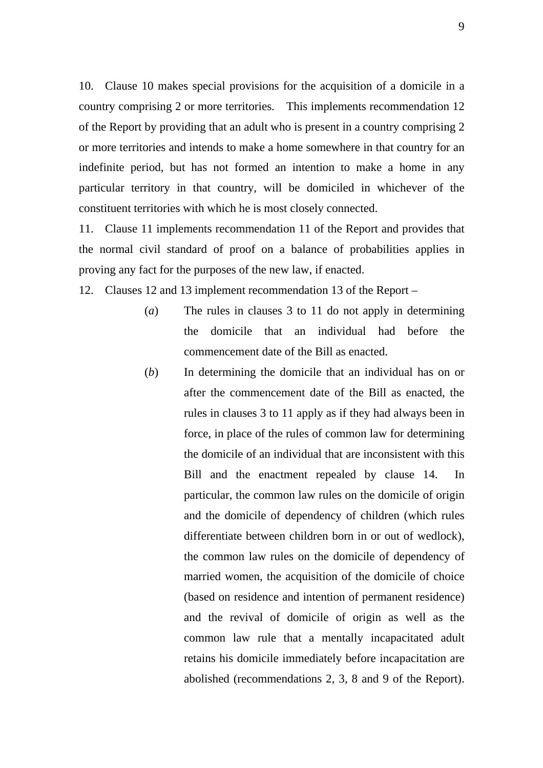10. Clause 10 makes special provisions for the acquisition of a domicile in a country comprising 2 or more territories. This implements recommendation 12 of the Report by providing that an adult who is present in a country comprising 2 or more territories and intends to make a home somewhere in that country for an indefinite period, but has not formed an intention to make a home in any particular territory in that country, will be domiciled in whichever of the constituent territories with which he is most closely connected.

11. Clause 11 implements recommendation 11 of the Report and provides that the normal civil standard of proof on a balance of probabilities applies in proving any fact for the purposes of the new law, if enacted.

12. Clauses 12 and 13 implement recommendation 13 of the Report –

- (*a*) The rules in clauses 3 to 11 do not apply in determining the domicile that an individual had before the commencement date of the Bill as enacted.
- (*b*) In determining the domicile that an individual has on or after the commencement date of the Bill as enacted, the rules in clauses 3 to 11 apply as if they had always been in force, in place of the rules of common law for determining the domicile of an individual that are inconsistent with this Bill and the enactment repealed by clause 14. In particular, the common law rules on the domicile of origin and the domicile of dependency of children (which rules differentiate between children born in or out of wedlock), the common law rules on the domicile of dependency of married women, the acquisition of the domicile of choice (based on residence and intention of permanent residence) and the revival of domicile of origin as well as the common law rule that a mentally incapacitated adult retains his domicile immediately before incapacitation are abolished (recommendations 2, 3, 8 and 9 of the Report).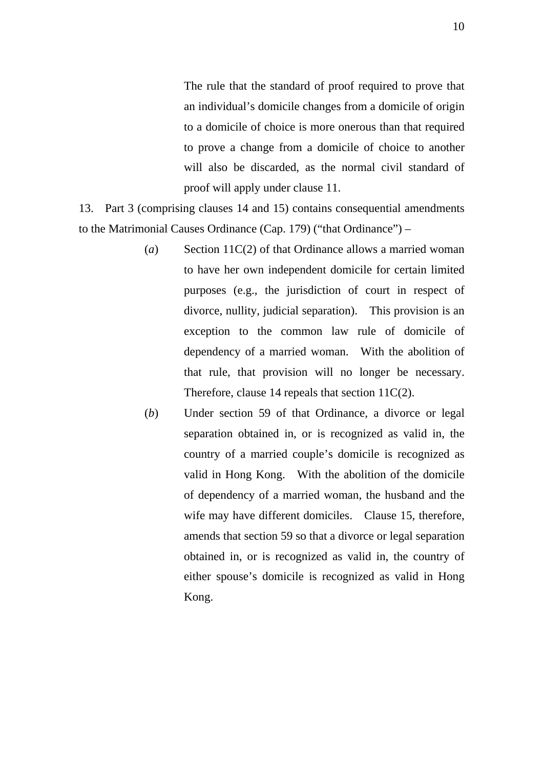The rule that the standard of proof required to prove that an individual's domicile changes from a domicile of origin to a domicile of choice is more onerous than that required to prove a change from a domicile of choice to another will also be discarded, as the normal civil standard of proof will apply under clause 11.

13. Part 3 (comprising clauses 14 and 15) contains consequential amendments to the Matrimonial Causes Ordinance (Cap. 179) ("that Ordinance") –

- (*a*) Section 11C(2) of that Ordinance allows a married woman to have her own independent domicile for certain limited purposes (e.g., the jurisdiction of court in respect of divorce, nullity, judicial separation). This provision is an exception to the common law rule of domicile of dependency of a married woman. With the abolition of that rule, that provision will no longer be necessary. Therefore, clause 14 repeals that section 11C(2).
- (*b*) Under section 59 of that Ordinance, a divorce or legal separation obtained in, or is recognized as valid in, the country of a married couple's domicile is recognized as valid in Hong Kong. With the abolition of the domicile of dependency of a married woman, the husband and the wife may have different domiciles. Clause 15, therefore, amends that section 59 so that a divorce or legal separation obtained in, or is recognized as valid in, the country of either spouse's domicile is recognized as valid in Hong Kong.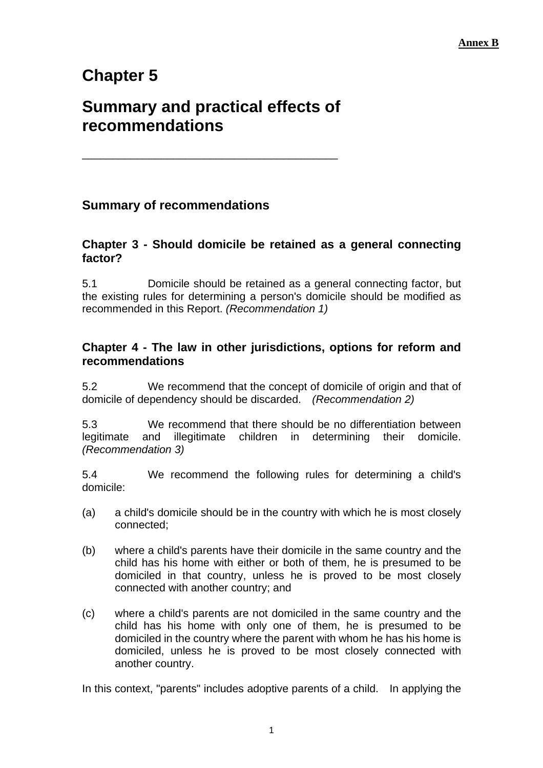# **Chapter 5**

# **Summary and practical effects of recommendations**

\_\_\_\_\_\_\_\_\_\_\_\_\_\_\_\_\_\_\_\_\_\_\_\_\_\_\_\_\_\_\_\_\_\_\_\_\_\_\_\_\_\_

# **Summary of recommendations**

### **Chapter 3 - Should domicile be retained as a general connecting factor?**

5.1 Domicile should be retained as a general connecting factor, but the existing rules for determining a person's domicile should be modified as recommended in this Report. *(Recommendation 1)*

# **Chapter 4 - The law in other jurisdictions, options for reform and recommendations**

5.2 We recommend that the concept of domicile of origin and that of domicile of dependency should be discarded. *(Recommendation 2)* 

5.3 We recommend that there should be no differentiation between legitimate and illegitimate children in determining their domicile. *(Recommendation 3)*

5.4 We recommend the following rules for determining a child's domicile:

- (a) a child's domicile should be in the country with which he is most closely connected;
- (b) where a child's parents have their domicile in the same country and the child has his home with either or both of them, he is presumed to be domiciled in that country, unless he is proved to be most closely connected with another country; and
- (c) where a child's parents are not domiciled in the same country and the child has his home with only one of them, he is presumed to be domiciled in the country where the parent with whom he has his home is domiciled, unless he is proved to be most closely connected with another country.

In this context, "parents" includes adoptive parents of a child. In applying the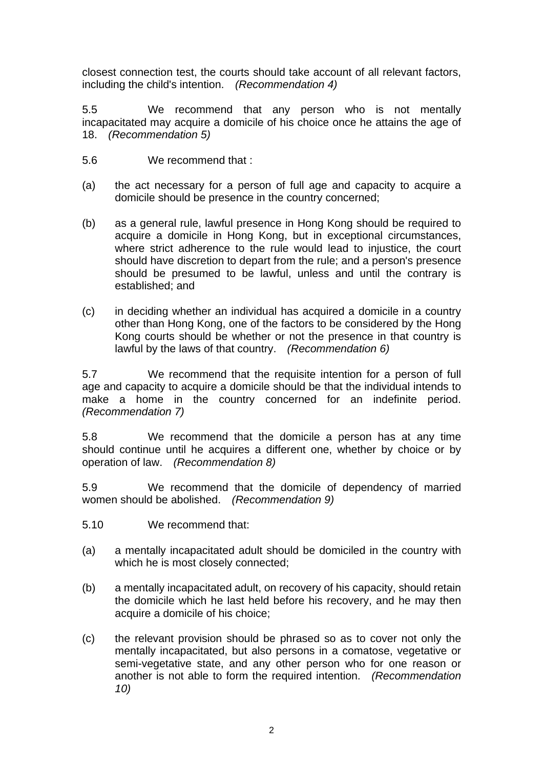closest connection test, the courts should take account of all relevant factors, including the child's intention. *(Recommendation 4)*

5.5 We recommend that any person who is not mentally incapacitated may acquire a domicile of his choice once he attains the age of 18. *(Recommendation 5)* 

- 5.6 We recommend that :
- (a) the act necessary for a person of full age and capacity to acquire a domicile should be presence in the country concerned;
- (b) as a general rule, lawful presence in Hong Kong should be required to acquire a domicile in Hong Kong, but in exceptional circumstances, where strict adherence to the rule would lead to injustice, the court should have discretion to depart from the rule; and a person's presence should be presumed to be lawful, unless and until the contrary is established; and
- (c) in deciding whether an individual has acquired a domicile in a country other than Hong Kong, one of the factors to be considered by the Hong Kong courts should be whether or not the presence in that country is lawful by the laws of that country. *(Recommendation 6)*

5.7 We recommend that the requisite intention for a person of full age and capacity to acquire a domicile should be that the individual intends to make a home in the country concerned for an indefinite period. *(Recommendation 7)* 

5.8 We recommend that the domicile a person has at any time should continue until he acquires a different one, whether by choice or by operation of law. *(Recommendation 8)* 

5.9 We recommend that the domicile of dependency of married women should be abolished. *(Recommendation 9)* 

- 5.10 We recommend that:
- (a) a mentally incapacitated adult should be domiciled in the country with which he is most closely connected;
- (b) a mentally incapacitated adult, on recovery of his capacity, should retain the domicile which he last held before his recovery, and he may then acquire a domicile of his choice;
- (c) the relevant provision should be phrased so as to cover not only the mentally incapacitated, but also persons in a comatose, vegetative or semi-vegetative state, and any other person who for one reason or another is not able to form the required intention. *(Recommendation 10)*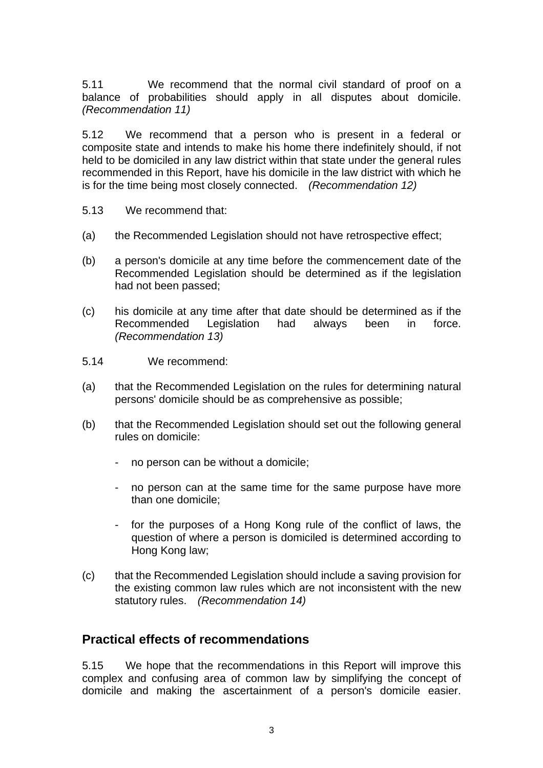5.11 We recommend that the normal civil standard of proof on a balance of probabilities should apply in all disputes about domicile. *(Recommendation 11)* 

5.12 We recommend that a person who is present in a federal or composite state and intends to make his home there indefinitely should, if not held to be domiciled in any law district within that state under the general rules recommended in this Report, have his domicile in the law district with which he is for the time being most closely connected. *(Recommendation 12)* 

- 5.13 We recommend that:
- (a) the Recommended Legislation should not have retrospective effect;
- (b) a person's domicile at any time before the commencement date of the Recommended Legislation should be determined as if the legislation had not been passed;
- (c) his domicile at any time after that date should be determined as if the Recommended Legislation had always been in force. *(Recommendation 13)*
- 5.14 We recommend:
- (a) that the Recommended Legislation on the rules for determining natural persons' domicile should be as comprehensive as possible;
- (b) that the Recommended Legislation should set out the following general rules on domicile:
	- no person can be without a domicile;
	- no person can at the same time for the same purpose have more than one domicile;
	- for the purposes of a Hong Kong rule of the conflict of laws, the question of where a person is domiciled is determined according to Hong Kong law;
- (c) that the Recommended Legislation should include a saving provision for the existing common law rules which are not inconsistent with the new statutory rules. *(Recommendation 14)*

# **Practical effects of recommendations**

5.15 We hope that the recommendations in this Report will improve this complex and confusing area of common law by simplifying the concept of domicile and making the ascertainment of a person's domicile easier.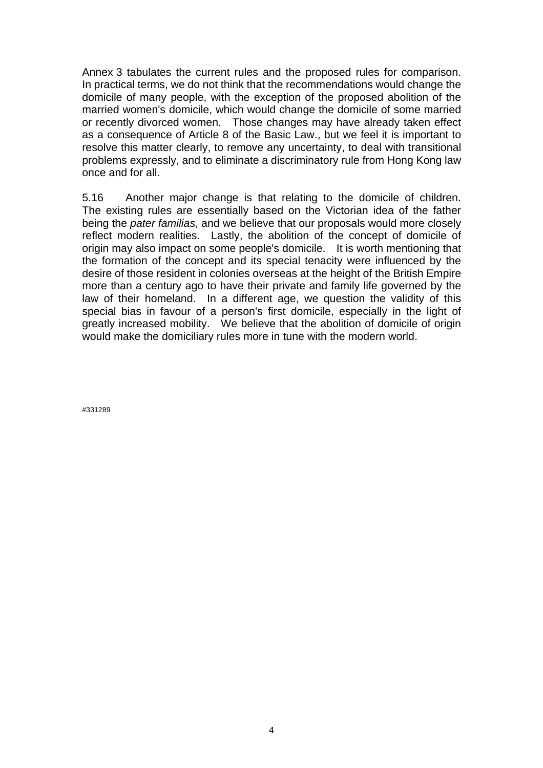Annex 3 tabulates the current rules and the proposed rules for comparison. In practical terms, we do not think that the recommendations would change the domicile of many people, with the exception of the proposed abolition of the married women's domicile, which would change the domicile of some married or recently divorced women. Those changes may have already taken effect as a consequence of Article 8 of the Basic Law., but we feel it is important to resolve this matter clearly, to remove any uncertainty, to deal with transitional problems expressly, and to eliminate a discriminatory rule from Hong Kong law once and for all.

5.16 Another major change is that relating to the domicile of children. The existing rules are essentially based on the Victorian idea of the father being the *pater familias,* and we believe that our proposals would more closely reflect modern realities. Lastly, the abolition of the concept of domicile of origin may also impact on some people's domicile. It is worth mentioning that the formation of the concept and its special tenacity were influenced by the desire of those resident in colonies overseas at the height of the British Empire more than a century ago to have their private and family life governed by the law of their homeland. In a different age, we question the validity of this special bias in favour of a person's first domicile, especially in the light of greatly increased mobility. We believe that the abolition of domicile of origin would make the domiciliary rules more in tune with the modern world.

#331289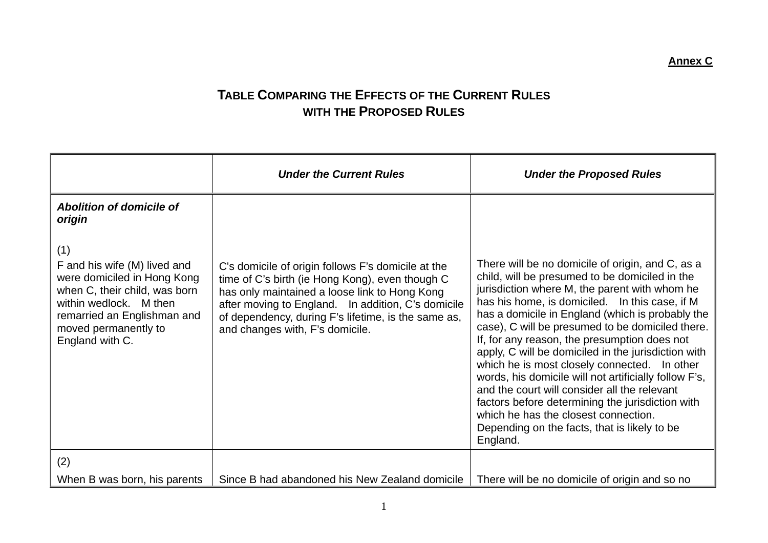# **TABLE COMPARING THE EFFECTS OF THE CURRENT RULES WITH THE PROPOSED RULES**

|                                                                                                                                                                                                         | <b>Under the Current Rules</b>                                                                                                                                                                                                                                                                         | <b>Under the Proposed Rules</b>                                                                                                                                                                                                                                                                                                                                                                                                                                                                                                                                                                                                                                                                                                       |
|---------------------------------------------------------------------------------------------------------------------------------------------------------------------------------------------------------|--------------------------------------------------------------------------------------------------------------------------------------------------------------------------------------------------------------------------------------------------------------------------------------------------------|---------------------------------------------------------------------------------------------------------------------------------------------------------------------------------------------------------------------------------------------------------------------------------------------------------------------------------------------------------------------------------------------------------------------------------------------------------------------------------------------------------------------------------------------------------------------------------------------------------------------------------------------------------------------------------------------------------------------------------------|
| Abolition of domicile of<br>origin                                                                                                                                                                      |                                                                                                                                                                                                                                                                                                        |                                                                                                                                                                                                                                                                                                                                                                                                                                                                                                                                                                                                                                                                                                                                       |
| (1)<br>F and his wife (M) lived and<br>were domiciled in Hong Kong<br>when C, their child, was born<br>within wedlock. M then<br>remarried an Englishman and<br>moved permanently to<br>England with C. | C's domicile of origin follows F's domicile at the<br>time of C's birth (ie Hong Kong), even though C<br>has only maintained a loose link to Hong Kong<br>after moving to England. In addition, C's domicile<br>of dependency, during F's lifetime, is the same as,<br>and changes with, F's domicile. | There will be no domicile of origin, and C, as a<br>child, will be presumed to be domiciled in the<br>jurisdiction where M, the parent with whom he<br>has his home, is domiciled. In this case, if M<br>has a domicile in England (which is probably the<br>case), C will be presumed to be domiciled there.<br>If, for any reason, the presumption does not<br>apply, C will be domiciled in the jurisdiction with<br>which he is most closely connected. In other<br>words, his domicile will not artificially follow F's,<br>and the court will consider all the relevant<br>factors before determining the jurisdiction with<br>which he has the closest connection.<br>Depending on the facts, that is likely to be<br>England. |
| (2)                                                                                                                                                                                                     |                                                                                                                                                                                                                                                                                                        |                                                                                                                                                                                                                                                                                                                                                                                                                                                                                                                                                                                                                                                                                                                                       |
| When B was born, his parents                                                                                                                                                                            | Since B had abandoned his New Zealand domicile                                                                                                                                                                                                                                                         | There will be no domicile of origin and so no                                                                                                                                                                                                                                                                                                                                                                                                                                                                                                                                                                                                                                                                                         |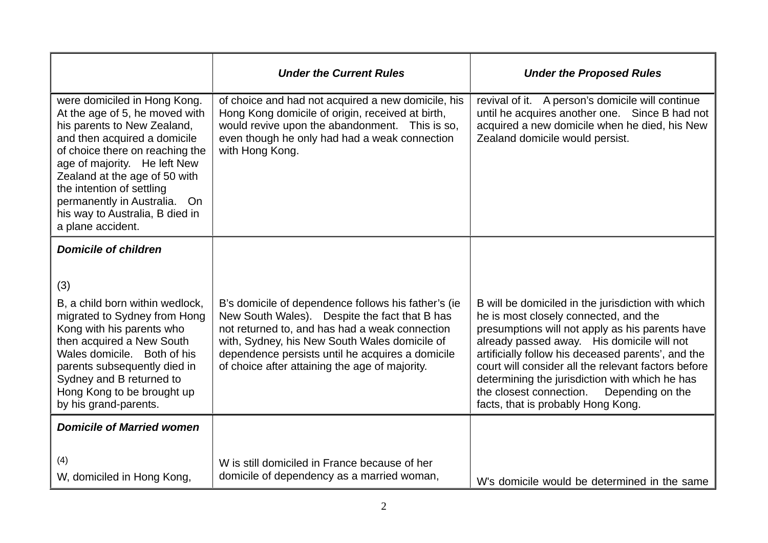|                                                                                                                                                                                                                                                                                                                                                        | <b>Under the Current Rules</b>                                                                                                                                                                                                                                                                                | <b>Under the Proposed Rules</b>                                                                                                                                                                                                                                                                                                                                                                                                                  |
|--------------------------------------------------------------------------------------------------------------------------------------------------------------------------------------------------------------------------------------------------------------------------------------------------------------------------------------------------------|---------------------------------------------------------------------------------------------------------------------------------------------------------------------------------------------------------------------------------------------------------------------------------------------------------------|--------------------------------------------------------------------------------------------------------------------------------------------------------------------------------------------------------------------------------------------------------------------------------------------------------------------------------------------------------------------------------------------------------------------------------------------------|
| were domiciled in Hong Kong.<br>At the age of 5, he moved with<br>his parents to New Zealand,<br>and then acquired a domicile<br>of choice there on reaching the<br>age of majority. He left New<br>Zealand at the age of 50 with<br>the intention of settling<br>permanently in Australia. On<br>his way to Australia, B died in<br>a plane accident. | of choice and had not acquired a new domicile, his<br>Hong Kong domicile of origin, received at birth,<br>would revive upon the abandonment. This is so,<br>even though he only had had a weak connection<br>with Hong Kong.                                                                                  | revival of it. A person's domicile will continue<br>until he acquires another one. Since B had not<br>acquired a new domicile when he died, his New<br>Zealand domicile would persist.                                                                                                                                                                                                                                                           |
| <b>Domicile of children</b>                                                                                                                                                                                                                                                                                                                            |                                                                                                                                                                                                                                                                                                               |                                                                                                                                                                                                                                                                                                                                                                                                                                                  |
| (3)<br>B, a child born within wedlock,<br>migrated to Sydney from Hong<br>Kong with his parents who<br>then acquired a New South<br>Wales domicile. Both of his<br>parents subsequently died in<br>Sydney and B returned to<br>Hong Kong to be brought up<br>by his grand-parents.                                                                     | B's domicile of dependence follows his father's (ie<br>New South Wales). Despite the fact that B has<br>not returned to, and has had a weak connection<br>with, Sydney, his New South Wales domicile of<br>dependence persists until he acquires a domicile<br>of choice after attaining the age of majority. | B will be domiciled in the jurisdiction with which<br>he is most closely connected, and the<br>presumptions will not apply as his parents have<br>already passed away. His domicile will not<br>artificially follow his deceased parents', and the<br>court will consider all the relevant factors before<br>determining the jurisdiction with which he has<br>the closest connection.<br>Depending on the<br>facts, that is probably Hong Kong. |
| <b>Domicile of Married women</b>                                                                                                                                                                                                                                                                                                                       |                                                                                                                                                                                                                                                                                                               |                                                                                                                                                                                                                                                                                                                                                                                                                                                  |
| (4)<br>W, domiciled in Hong Kong,                                                                                                                                                                                                                                                                                                                      | W is still domiciled in France because of her<br>domicile of dependency as a married woman,                                                                                                                                                                                                                   | W's domicile would be determined in the same                                                                                                                                                                                                                                                                                                                                                                                                     |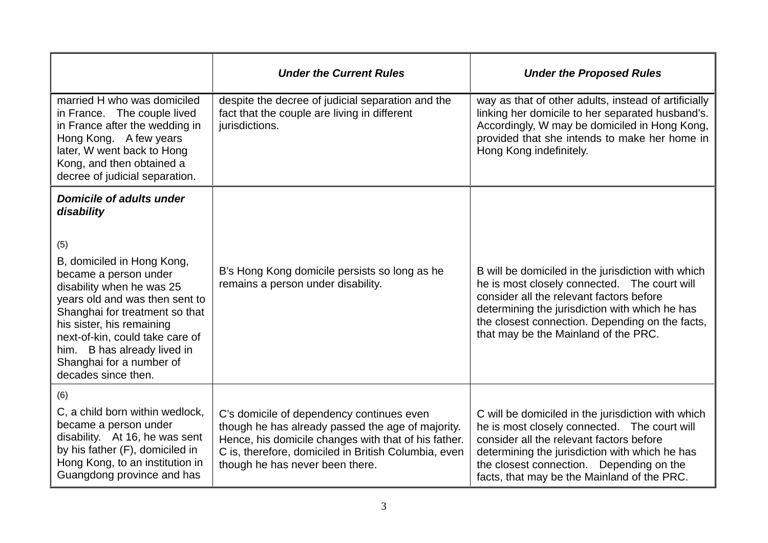|                                                                                                                                                                                                                                                                                                                                                                | <b>Under the Current Rules</b>                                                                                                                                                                                                                    | <b>Under the Proposed Rules</b>                                                                                                                                                                                                                                                             |
|----------------------------------------------------------------------------------------------------------------------------------------------------------------------------------------------------------------------------------------------------------------------------------------------------------------------------------------------------------------|---------------------------------------------------------------------------------------------------------------------------------------------------------------------------------------------------------------------------------------------------|---------------------------------------------------------------------------------------------------------------------------------------------------------------------------------------------------------------------------------------------------------------------------------------------|
| married H who was domiciled<br>in France. The couple lived<br>in France after the wedding in<br>Hong Kong. A few years<br>later, W went back to Hong<br>Kong, and then obtained a<br>decree of judicial separation.                                                                                                                                            | despite the decree of judicial separation and the<br>fact that the couple are living in different<br>jurisdictions.                                                                                                                               | way as that of other adults, instead of artificially<br>linking her domicile to her separated husband's.<br>Accordingly, W may be domiciled in Hong Kong,<br>provided that she intends to make her home in<br>Hong Kong indefinitely.                                                       |
| <b>Domicile of adults under</b><br>disability<br>(5)<br>B, domiciled in Hong Kong,<br>became a person under<br>disability when he was 25<br>years old and was then sent to<br>Shanghai for treatment so that<br>his sister, his remaining<br>next-of-kin, could take care of<br>him. B has already lived in<br>Shanghai for a number of<br>decades since then. | B's Hong Kong domicile persists so long as he<br>remains a person under disability.                                                                                                                                                               | B will be domiciled in the jurisdiction with which<br>he is most closely connected. The court will<br>consider all the relevant factors before<br>determining the jurisdiction with which he has<br>the closest connection. Depending on the facts,<br>that may be the Mainland of the PRC. |
| (6)<br>C, a child born within wedlock,<br>became a person under<br>disability. At 16, he was sent<br>by his father (F), domiciled in<br>Hong Kong, to an institution in<br>Guangdong province and has                                                                                                                                                          | C's domicile of dependency continues even<br>though he has already passed the age of majority.<br>Hence, his domicile changes with that of his father.<br>C is, therefore, domiciled in British Columbia, even<br>though he has never been there. | C will be domiciled in the jurisdiction with which<br>he is most closely connected. The court will<br>consider all the relevant factors before<br>determining the jurisdiction with which he has<br>the closest connection. Depending on the<br>facts, that may be the Mainland of the PRC. |